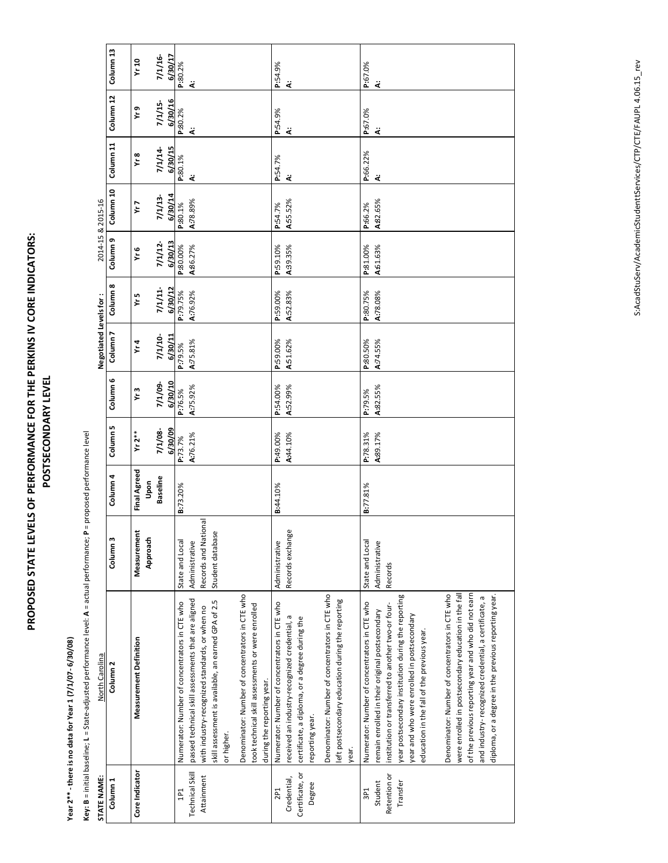## **PROPOSED STATE LEVELS OF PERFORMANCE FOR THE PERKINS IV CORE INDICATORS:** PROPOSED STATE LEVELS OF PERFORMANCE FOR THE PERKINS IV CORE INDICATORS: POSTSECONDARY LEVEL **POSTSECONDARY LEVEL**

## Year 2\*\* - there is no data for Year 1 (7/1/07- 6/30/08) **Year 2\*\*** - there is no data for Year 1 (7/1/07- 6/30/08)

Key: B = initial baseline; L = State-adjusted performance level: A = actual performance; P = proposed performance level **Key:** B = initial baseline; L = State-adjusted performance level: A = actual performance; P = proposed performance level

|                              | Column <sub>13</sub><br>Column 12 | Yr10<br>Yr 9   |                               |          | $7/1/16 -$<br>$7/1/15-$ | 6/30/17<br>6/30/16 | P:80.2%<br>P:80.2%                            | ä<br>ä                                              |                                                |                                                                   |                                                 |                                                   | P:54.9%<br>P:54.9%                                                          | ä<br>ä              |                                               |                                                                   |                                                 |                                                            | P:67.0%<br>P:67.0%                            | ä<br>ä                                          |                                                    |                                                     |                                             |                                             |                                                 |                                                      |                                                     |                                                      |                                                      |
|------------------------------|-----------------------------------|----------------|-------------------------------|----------|-------------------------|--------------------|-----------------------------------------------|-----------------------------------------------------|------------------------------------------------|-------------------------------------------------------------------|-------------------------------------------------|---------------------------------------------------|-----------------------------------------------------------------------------|---------------------|-----------------------------------------------|-------------------------------------------------------------------|-------------------------------------------------|------------------------------------------------------------|-----------------------------------------------|-------------------------------------------------|----------------------------------------------------|-----------------------------------------------------|---------------------------------------------|---------------------------------------------|-------------------------------------------------|------------------------------------------------------|-----------------------------------------------------|------------------------------------------------------|------------------------------------------------------|
| 2014-15 & 2015-16            | Column 11<br>Column 10            |                | Yr 8<br>Yr 7                  |          | 7/1/14<br>7/1/13        | 6/30/15<br>6/30/14 | P:80.1%<br>P:80.1%                            | ä<br>A:78.89%                                       |                                                |                                                                   |                                                 |                                                   | P:54.7%<br>P:54.7%                                                          | خ<br>A:55.52%       |                                               |                                                                   |                                                 |                                                            | P:66.22%<br>P:66.2%                           | ä<br>A:82.65%                                   |                                                    |                                                     |                                             |                                             |                                                 |                                                      |                                                     |                                                      |                                                      |
|                              | Column <sub>9</sub><br>Column 8   |                | ٧r 6<br>Yr 5                  |          | 7/1/12-<br>7/1/11       | 6/30/13<br>6/30/12 | P:80.00%<br>P:79.75%                          | A86.27%<br>A:76.92%                                 |                                                |                                                                   |                                                 |                                                   | P:59.10%<br>P:59.00%                                                        | A39.35%<br>A:52.83% |                                               |                                                                   |                                                 |                                                            | P:81.00%<br>P:80.75%                          | A:61.63%<br>A:78.08%                            |                                                    |                                                     |                                             |                                             |                                                 |                                                      |                                                     |                                                      |                                                      |
| <b>Negotiated Levels for</b> | Column <sub>7</sub>               |                | Yr4                           |          | $7/1/10-$               | 6/30/11            | P:79.5%                                       | A:75.81%                                            |                                                |                                                                   |                                                 |                                                   | P:59.00%                                                                    |                     | A51.62%                                       |                                                                   |                                                 |                                                            | P:80.50%                                      | A:74.55%                                        |                                                    |                                                     |                                             |                                             |                                                 |                                                      |                                                     |                                                      |                                                      |
|                              | Column 6<br>Column 5              |                | Yr 3<br>$Yr 2**$              |          | 7/1/09-<br>7/1/08-      | 6/30/10<br>6/30/09 | P:76.5%<br>P:73.7%                            | A:75.92%<br>A:76.21%                                |                                                |                                                                   |                                                 |                                                   | P:54.00%<br>P:49.00%                                                        |                     | A:52.99%<br>A:44.10%                          |                                                                   |                                                 |                                                            | P:79.5%<br>P:78.31%                           | A:82.55%<br>A:89.17%                            |                                                    |                                                     |                                             |                                             |                                                 |                                                      |                                                     |                                                      |                                                      |
|                              | Column 4                          |                | <b>Final Agreed</b>           | Upon     | <b>Baseline</b>         |                    | <b>B:73.20%</b>                               |                                                     |                                                |                                                                   |                                                 |                                                   | <b>B:44.10%</b>                                                             |                     |                                               |                                                                   |                                                 |                                                            | 8:77.81%                                      |                                                 |                                                    |                                                     |                                             |                                             |                                                 |                                                      |                                                     |                                                      |                                                      |
|                              | Column <sub>3</sub>               |                | Measurement                   | Approach |                         |                    | State and Local                               | Administrative                                      | Records and National                           | Student database                                                  |                                                 |                                                   | Administrative                                                              |                     | Records exchange                              |                                                                   |                                                 |                                                            | State and Local                               | Administrative                                  | Records                                            |                                                     |                                             |                                             |                                                 |                                                      |                                                     |                                                      |                                                      |
| North Carolina               | Column <sub>2</sub>               |                | <b>Measurement Definition</b> |          |                         |                    | Numerator: Number of concentrators in CTE who | passed technical skill assessments that are aligned | with industry-recognized standards, or when no | skill assessment is available, an earned GPA of 2.5<br>or higher. | Denominator: Number of concentrators in CTE who | took technical skill assessments or were enrolled | Numerator: Number of concentrators in CTE who<br>during the reporting year. |                     | received an industry-recognized credential, a | certificate, a diploma, or a degree during the<br>reporting year. | Denominator: Number of concentrators in CTE who | left postsecondary education during the reporting<br>year. | Numerator: Number of concentrators in CTE who | remain enrolled in their original postsecondary | institution or transferred to another two-or four- | year postsecondary institution during the reporting | year and who were enrolled in postsecondary | education in the fall of the previous year. | Denominator: Number of concentrators in CTE who | were enrolled in postsecondary education in the fall | of the previous reporting year and who did not earn | and industry-recognized credential, a certificate, a | diploma, or a degree in the previous reporting year. |
| STATE NAME:                  | Column <sub>1</sub>               | Core Indicator |                               |          |                         |                    | 1P1                                           | Technical Skill                                     | Attainment                                     |                                                                   |                                                 |                                                   | 2P <sub>1</sub>                                                             |                     | Credential,                                   | Certificate, or<br>Degree                                         |                                                 |                                                            | 3P <sub>1</sub>                               | Student                                         | Retention or                                       | Transfer                                            |                                             |                                             |                                                 |                                                      |                                                     |                                                      |                                                      |